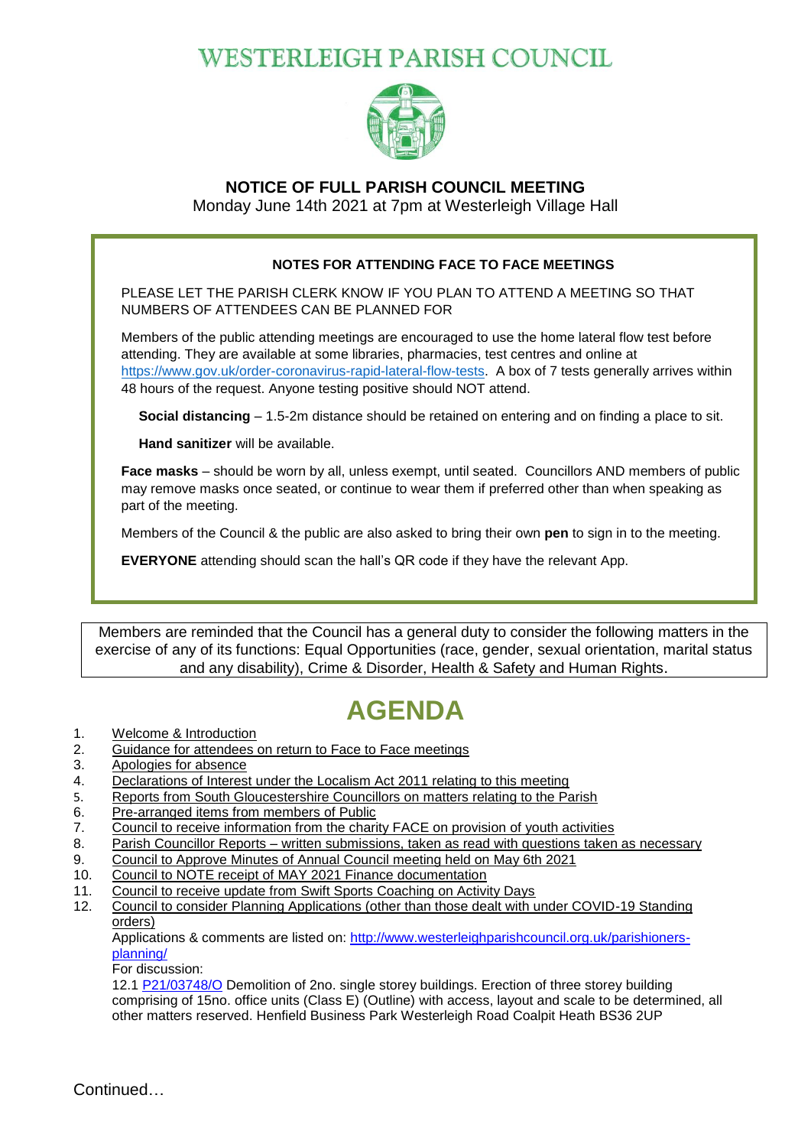## **WESTERLEIGH PARISH COUNCIL**



### **NOTICE OF FULL PARISH COUNCIL MEETING**

Monday June 14th 2021 at 7pm at Westerleigh Village Hall

#### **NOTES FOR ATTENDING FACE TO FACE MEETINGS**

PLEASE LET THE PARISH CLERK KNOW IF YOU PLAN TO ATTEND A MEETING SO THAT NUMBERS OF ATTENDEES CAN BE PLANNED FOR

Members of the public attending meetings are encouraged to use the home lateral flow test before attending. They are available at some libraries, pharmacies, test centres and online at [https://www.gov.uk/order-coronavirus-rapid-lateral-flow-tests.](https://www.gov.uk/order-coronavirus-rapid-lateral-flow-tests) A box of 7 tests generally arrives within 48 hours of the request. Anyone testing positive should NOT attend.

**Social distancing** – 1.5-2m distance should be retained on entering and on finding a place to sit.

**Hand sanitizer** will be available.

**Face masks** – should be worn by all, unless exempt, until seated. Councillors AND members of public may remove masks once seated, or continue to wear them if preferred other than when speaking as part of the meeting.

Members of the Council & the public are also asked to bring their own **pen** to sign in to the meeting.

**EVERYONE** attending should scan the hall's QR code if they have the relevant App.

Members are reminded that the Council has a general duty to consider the following matters in the exercise of any of its functions: Equal Opportunities (race, gender, sexual orientation, marital status and any disability), Crime & Disorder, Health & Safety and Human Rights.

# **AGENDA**

- 1. Welcome & Introduction
- 2. Guidance for attendees on return to Face to Face meetings
- 3. Apologies for absence
- 4. Declarations of Interest under the Localism Act 2011 relating to this meeting
- 5. Reports from South Gloucestershire Councillors on matters relating to the Parish
- 6. Pre-arranged items from members of Public
- 7. Council to receive information from the charity FACE on provision of youth activities
- 8. Parish Councillor Reports written submissions, taken as read with questions taken as necessary
- 9. Council to Approve Minutes of Annual Council meeting held on May 6th 2021
- 10. Council to NOTE receipt of MAY 2021 Finance documentation
- 11. Council to receive update from Swift Sports Coaching on Activity Days
- 12. Council to consider Planning Applications (other than those dealt with under COVID-19 Standing orders)

Applications & comments are listed on: [http://www.westerleighparishcouncil.org.uk/parishioners](http://www.westerleighparishcouncil.org.uk/parishioners-planning/)[planning/](http://www.westerleighparishcouncil.org.uk/parishioners-planning/)

For discussion:

12.1 [P21/03748/O](https://developments.southglos.gov.uk/online-applications/applicationDetails.do?activeTab=summary&keyVal=QTGOPPOKIB000&prevPage=inTray) Demolition of 2no. single storey buildings. Erection of three storey building comprising of 15no. office units (Class E) (Outline) with access, layout and scale to be determined, all other matters reserved. Henfield Business Park Westerleigh Road Coalpit Heath BS36 2UP